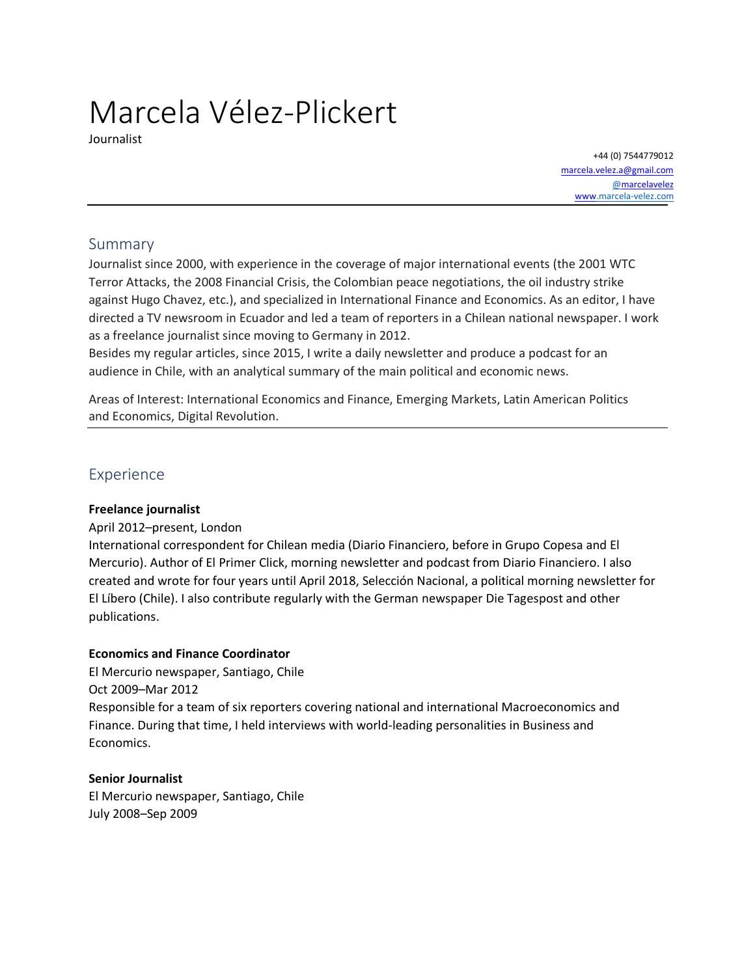# Marcela Vélez-Plickert

Journalist

+44 (0) 7544779012 [marcela.velez.a@gmail.com](mailto:marcela.velez.a@gmail.com) [@marcelavelez](https://twitter.com/marcelavelez) [www.m](https://www.marcela-velez.com/)arcela-velez.com

# Summary

Journalist since 2000, with experience in the coverage of major international events (the 2001 WTC Terror Attacks, the 2008 Financial Crisis, the Colombian peace negotiations, the oil industry strike against Hugo Chavez, etc.), and specialized in International Finance and Economics. As an editor, I have directed a TV newsroom in Ecuador and led a team of reporters in a Chilean national newspaper. I work as a freelance journalist since moving to Germany in 2012.

Besides my regular articles, since 2015, I write a daily newsletter and produce a podcast for an audience in Chile, with an analytical summary of the main political and economic news.

Areas of Interest: International Economics and Finance, Emerging Markets, Latin American Politics and Economics, Digital Revolution.

# Experience

#### **Freelance journalist**

#### April 2012–present, London

International correspondent for Chilean media (Diario Financiero, before in Grupo Copesa and El Mercurio). Author of El Primer Click, morning newsletter and podcast from Diario Financiero. I also created and wrote for four years until April 2018, Selección Nacional, a political morning newsletter for El Líbero (Chile). I also contribute regularly with the German newspaper Die Tagespost and other publications.

#### **Economics and Finance Coordinator**

El Mercurio newspaper, Santiago, Chile Oct 2009–Mar 2012

Responsible for a team of six reporters covering national and international Macroeconomics and Finance. During that time, I held interviews with world-leading personalities in Business and Economics.

#### **Senior Journalist**

El Mercurio newspaper, Santiago, Chile July 2008–Sep 2009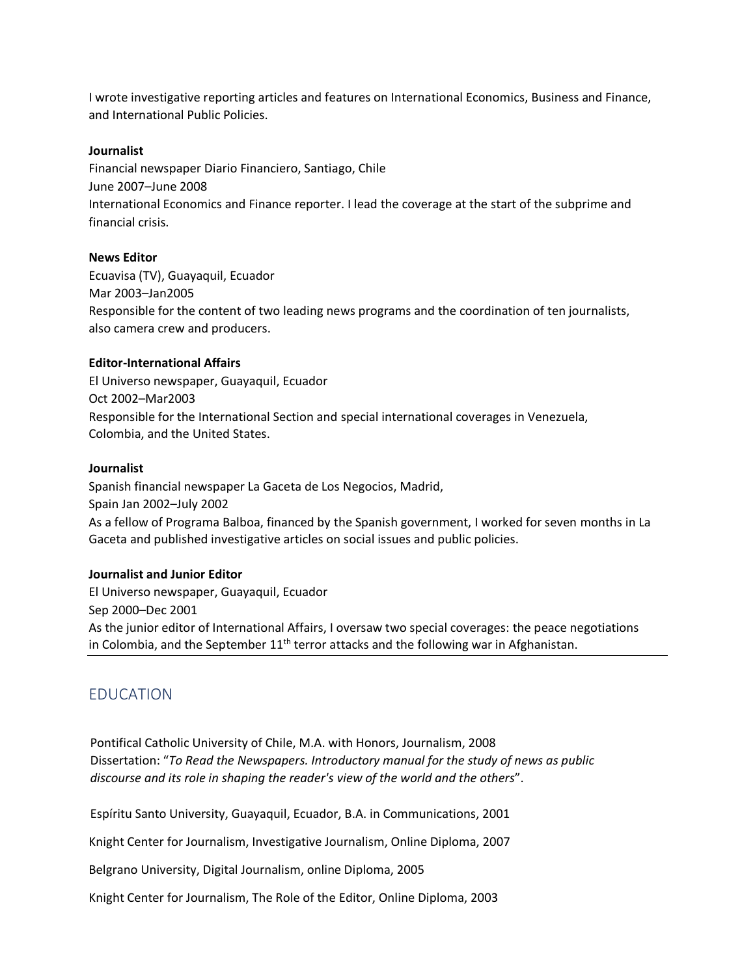I wrote investigative reporting articles and features on International Economics, Business and Finance, and International Public Policies.

#### **Journalist**

Financial newspaper Diario Financiero, Santiago, Chile June 2007–June 2008 International Economics and Finance reporter. I lead the coverage at the start of the subprime and financial crisis.

#### **News Editor**

Ecuavisa (TV), Guayaquil, Ecuador Mar 2003–Jan2005 Responsible for the content of two leading news programs and the coordination of ten journalists, also camera crew and producers.

#### **Editor-International Affairs**

El Universo newspaper, Guayaquil, Ecuador Oct 2002–Mar2003 Responsible for the International Section and special international coverages in Venezuela, Colombia, and the United States.

#### **Journalist**

Spanish financial newspaper La Gaceta de Los Negocios, Madrid, Spain Jan 2002–July 2002 As a fellow of Programa Balboa, financed by the Spanish government, I worked for seven months in La Gaceta and published investigative articles on social issues and public policies.

#### **Journalist and Junior Editor**

El Universo newspaper, Guayaquil, Ecuador Sep 2000–Dec 2001 As the junior editor of International Affairs, I oversaw two special coverages: the peace negotiations in Colombia, and the September  $11<sup>th</sup>$  terror attacks and the following war in Afghanistan.

# EDUCATION

Pontifical Catholic University of Chile, M.A. with Honors, Journalism, 2008 Dissertation: "*To Read the Newspapers. Introductory manual for the study of news as public discourse and its role in shaping the reader's view of the world and the others*".

Espíritu Santo University, Guayaquil, Ecuador, B.A. in Communications, 2001

Knight Center for Journalism, Investigative Journalism, Online Diploma, 2007

Belgrano University, Digital Journalism, online Diploma, 2005

Knight Center for Journalism, The Role of the Editor, Online Diploma, 2003